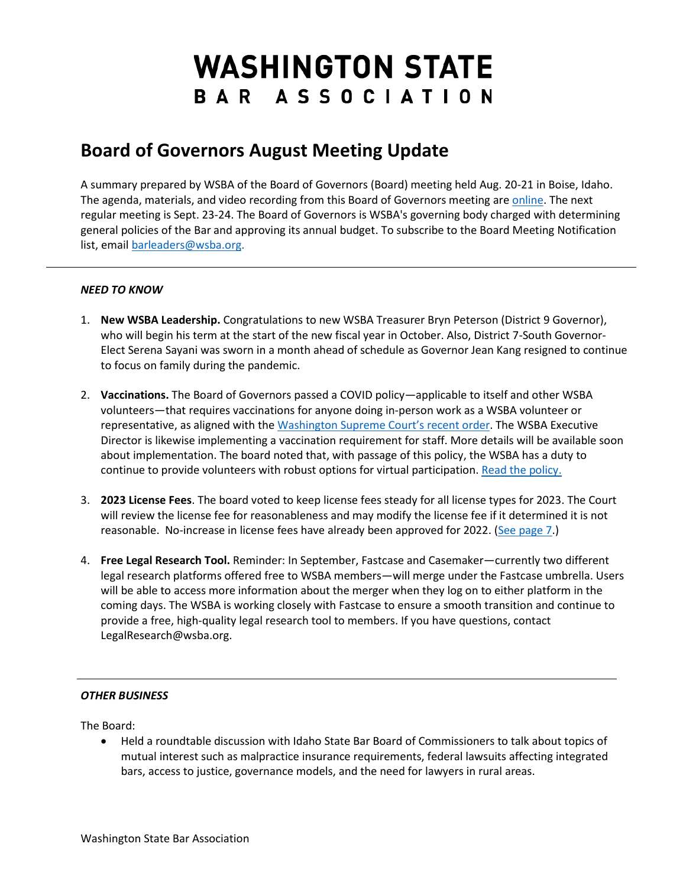## **WASHINGTON STATE** BAR ASSOCIATION

## **Board of Governors August Meeting Update**

A summary prepared by WSBA of the Board of Governors (Board) meeting held Aug. 20-21 in Boise, Idaho. The agenda, materials, and video recording from this Board of Governors meeting are [online.](https://www.wsba.org/about-wsba/who-we-are/board-of-governors) The next regular meeting is Sept. 23-24. The Board of Governors is WSBA's governing body charged with determining general policies of the Bar and approving its annual budget. To subscribe to the Board Meeting Notification list, email [barleaders@wsba.org.](mailto:barleaders@wsba.org)

## *NEED TO KNOW*

- 1. **New WSBA Leadership.** Congratulations to new WSBA Treasurer Bryn Peterson (District 9 Governor), who will begin his term at the start of the new fiscal year in October. Also, District 7-South Governor-Elect Serena Sayani was sworn in a month ahead of schedule as Governor Jean Kang resigned to continue to focus on family during the pandemic.
- 2. **Vaccinations.** The Board of Governors passed a COVID policy—applicable to itself and other WSBA volunteers—that requires vaccinations for anyone doing in-person work as a WSBA volunteer or representative, as aligned with th[e Washington Supreme Court's recent order.](https://www.courts.wa.gov/newsinfo/?fa=newsinfo.pressdetail&newsid=46143) The WSBA Executive Director is likewise implementing a vaccination requirement for staff. More details will be available soon about implementation. The board noted that, with passage of this policy, the WSBA has a duty to continue to provide volunteers with robust options for virtual participation. [Read the policy.](https://www.wsba.org/docs/default-source/about-wsba/governance/policy-adoption_covid_8-21-21-final.pdf)
- 3. **2023 License Fees**. The board voted to keep license fees steady for all license types for 2023. The Court will review the license fee for reasonableness and may modify the license fee if it determined it is not reasonable. No-increase in license fees have already been approved for 2022. [\(See page 7.](https://www.wsba.org/docs/default-source/about-wsba/governance/bog-meeting-materials-2000-2001/board-of-governors-meeting-late-materials-august-2021.pdf#page=7))
- 4. **Free Legal Research Tool.** Reminder: In September, Fastcase and Casemaker—currently two different legal research platforms offered free to WSBA members—will merge under the Fastcase umbrella. Users will be able to access more information about the merger when they log on to either platform in the coming days. The WSBA is working closely with Fastcase to ensure a smooth transition and continue to provide a free, high-quality legal research tool to members. If you have questions, contact LegalResearch@wsba.org.

## *OTHER BUSINESS*

The Board:

• Held a roundtable discussion with Idaho State Bar Board of Commissioners to talk about topics of mutual interest such as malpractice insurance requirements, federal lawsuits affecting integrated bars, access to justice, governance models, and the need for lawyers in rural areas.